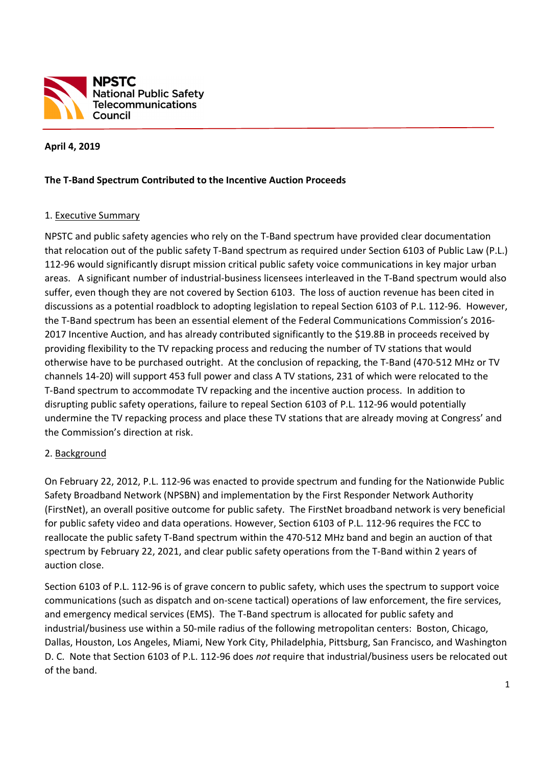

### **April 4, 2019**

#### **The T-Band Spectrum Contributed to the Incentive Auction Proceeds**

 $\overline{a}$ 

#### 1. Executive Summary

NPSTC and public safety agencies who rely on the T-Band spectrum have provided clear documentation that relocation out of the public safety T-Band spectrum as required under Section 6103 of Public Law (P.L.) 112-96 would significantly disrupt mission critical public safety voice communications in key major urban areas. A significant number of industrial-business licensees interleaved in the T-Band spectrum would also suffer, even though they are not covered by Section 6103. The loss of auction revenue has been cited in discussions as a potential roadblock to adopting legislation to repeal Section 6103 of P.L. 112-96. However, the T-Band spectrum has been an essential element of the Federal Communications Commission's 2016- 2017 Incentive Auction, and has already contributed significantly to the \$19.8B in proceeds received by providing flexibility to the TV repacking process and reducing the number of TV stations that would otherwise have to be purchased outright. At the conclusion of repacking, the T-Band (470-512 MHz or TV channels 14-20) will support 453 full power and class A TV stations, 231 of which were relocated to the T-Band spectrum to accommodate TV repacking and the incentive auction process. In addition to disrupting public safety operations, failure to repeal Section 6103 of P.L. 112-96 would potentially undermine the TV repacking process and place these TV stations that are already moving at Congress' and the Commission's direction at risk.

#### 2. Background

On February 22, 2012, P.L. 112-96 was enacted to provide spectrum and funding for the Nationwide Public Safety Broadband Network (NPSBN) and implementation by the First Responder Network Authority (FirstNet), an overall positive outcome for public safety. The FirstNet broadband network is very beneficial for public safety video and data operations. However, Section 6103 of P.L. 112-96 requires the FCC to reallocate the public safety T-Band spectrum within the 470-512 MHz band and begin an auction of that spectrum by February 22, 2021, and clear public safety operations from the T-Band within 2 years of auction close.

Section 6103 of P.L. 112-96 is of grave concern to public safety, which uses the spectrum to support voice communications (such as dispatch and on-scene tactical) operations of law enforcement, the fire services, and emergency medical services (EMS). The T-Band spectrum is allocated for public safety and industrial/business use within a 50-mile radius of the following metropolitan centers: Boston, Chicago, Dallas, Houston, Los Angeles, Miami, New York City, Philadelphia, Pittsburg, San Francisco, and Washington D. C. Note that Section 6103 of P.L. 112-96 does *not* require that industrial/business users be relocated out of the band.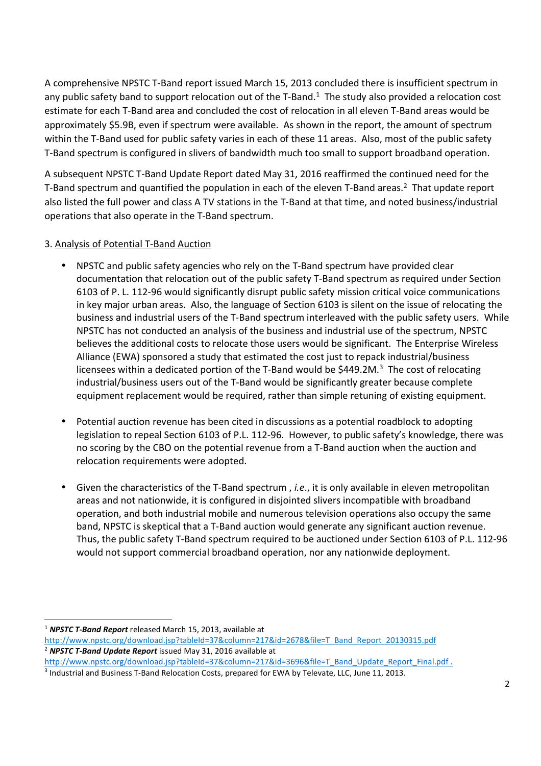A comprehensive NPSTC T-Band report issued March 15, 2013 concluded there is insufficient spectrum in any public safety band to support relocation out of the T-Band. $1$  The study also provided a relocation cost estimate for each T-Band area and concluded the cost of relocation in all eleven T-Band areas would be approximately \$5.9B, even if spectrum were available. As shown in the report, the amount of spectrum within the T-Band used for public safety varies in each of these 11 areas. Also, most of the public safety T-Band spectrum is configured in slivers of bandwidth much too small to support broadband operation.

A subsequent NPSTC T-Band Update Report dated May 31, 2016 reaffirmed the continued need for the T-Band spectrum and quantified the population in each of the eleven T-Band areas.<sup>2</sup> That update report also listed the full power and class A TV stations in the T-Band at that time, and noted business/industrial operations that also operate in the T-Band spectrum.

## 3. Analysis of Potential T-Band Auction

- NPSTC and public safety agencies who rely on the T-Band spectrum have provided clear documentation that relocation out of the public safety T-Band spectrum as required under Section 6103 of P. L. 112-96 would significantly disrupt public safety mission critical voice communications in key major urban areas. Also, the language of Section 6103 is silent on the issue of relocating the business and industrial users of the T-Band spectrum interleaved with the public safety users. While NPSTC has not conducted an analysis of the business and industrial use of the spectrum, NPSTC believes the additional costs to relocate those users would be significant. The Enterprise Wireless Alliance (EWA) sponsored a study that estimated the cost just to repack industrial/business licensees within a dedicated portion of the T-Band would be \$449.2M. $3$  The cost of relocating industrial/business users out of the T-Band would be significantly greater because complete equipment replacement would be required, rather than simple retuning of existing equipment.
- Potential auction revenue has been cited in discussions as a potential roadblock to adopting legislation to repeal Section 6103 of P.L. 112-96. However, to public safety's knowledge, there was no scoring by the CBO on the potential revenue from a T-Band auction when the auction and relocation requirements were adopted.
- Given the characteristics of the T-Band spectrum , *i.e*., it is only available in eleven metropolitan areas and not nationwide, it is configured in disjointed slivers incompatible with broadband operation, and both industrial mobile and numerous television operations also occupy the same band, NPSTC is skeptical that a T-Band auction would generate any significant auction revenue. Thus, the public safety T-Band spectrum required to be auctioned under Section 6103 of P.L. 112-96 would not support commercial broadband operation, nor any nationwide deployment.

.<br>-

<sup>1</sup> *NPSTC T-Band Report* released March 15, 2013, available at

http://www.npstc.org/download.jsp?tableId=37&column=217&id=2678&file=T\_Band\_Report\_20130315.pdf <sup>2</sup> *NPSTC T-Band Update Report* issued May 31, 2016 available at

http://www.npstc.org/download.jsp?tableId=37&column=217&id=3696&file=T\_Band\_Update\_Report\_Final.pdf .

<sup>&</sup>lt;sup>3</sup> Industrial and Business T-Band Relocation Costs, prepared for EWA by Televate, LLC, June 11, 2013.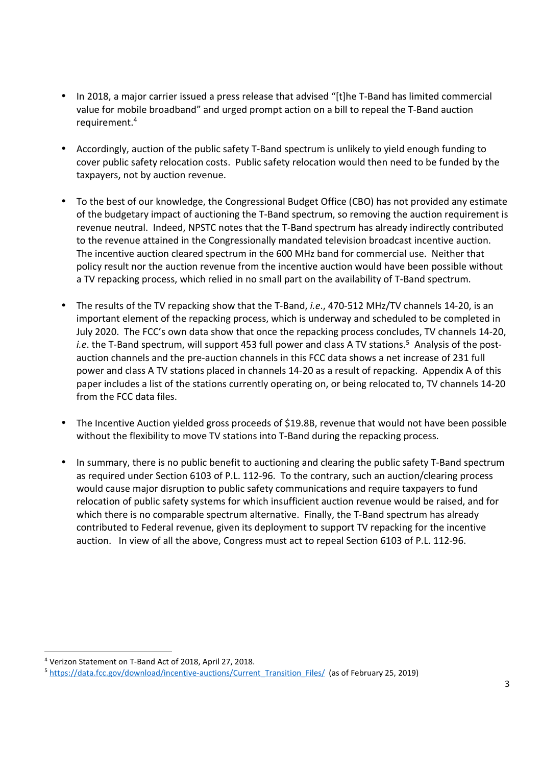- In 2018, a major carrier issued a press release that advised "[t]he T-Band has limited commercial value for mobile broadband" and urged prompt action on a bill to repeal the T-Band auction requirement.<sup>4</sup>
- Accordingly, auction of the public safety T-Band spectrum is unlikely to yield enough funding to cover public safety relocation costs. Public safety relocation would then need to be funded by the taxpayers, not by auction revenue.
- To the best of our knowledge, the Congressional Budget Office (CBO) has not provided any estimate of the budgetary impact of auctioning the T-Band spectrum, so removing the auction requirement is revenue neutral. Indeed, NPSTC notes that the T-Band spectrum has already indirectly contributed to the revenue attained in the Congressionally mandated television broadcast incentive auction. The incentive auction cleared spectrum in the 600 MHz band for commercial use. Neither that policy result nor the auction revenue from the incentive auction would have been possible without a TV repacking process, which relied in no small part on the availability of T-Band spectrum.
- The results of the TV repacking show that the T-Band, *i.e*., 470-512 MHz/TV channels 14-20, is an important element of the repacking process, which is underway and scheduled to be completed in July 2020. The FCC's own data show that once the repacking process concludes, TV channels 14-20, i.e. the T-Band spectrum, will support 453 full power and class A TV stations.<sup>5</sup> Analysis of the postauction channels and the pre-auction channels in this FCC data shows a net increase of 231 full power and class A TV stations placed in channels 14-20 as a result of repacking. Appendix A of this paper includes a list of the stations currently operating on, or being relocated to, TV channels 14-20 from the FCC data files.
- The Incentive Auction yielded gross proceeds of \$19.8B, revenue that would not have been possible without the flexibility to move TV stations into T-Band during the repacking process.
- In summary, there is no public benefit to auctioning and clearing the public safety T-Band spectrum as required under Section 6103 of P.L. 112-96. To the contrary, such an auction/clearing process would cause major disruption to public safety communications and require taxpayers to fund relocation of public safety systems for which insufficient auction revenue would be raised, and for which there is no comparable spectrum alternative. Finally, the T-Band spectrum has already contributed to Federal revenue, given its deployment to support TV repacking for the incentive auction. In view of all the above, Congress must act to repeal Section 6103 of P.L. 112-96.

.<br>-

<sup>4</sup> Verizon Statement on T-Band Act of 2018, April 27, 2018.

<sup>5</sup> https://data.fcc.gov/download/incentive-auctions/Current\_Transition\_Files/ (as of February 25, 2019)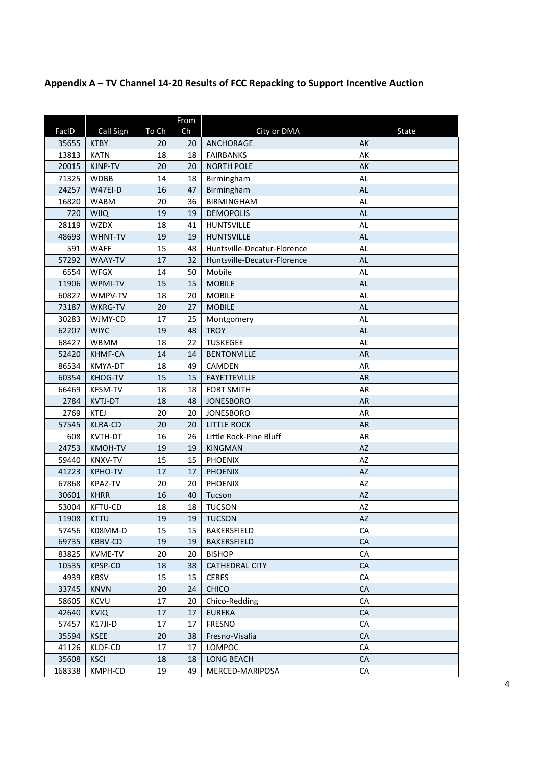# **Appendix A – TV Channel 14-20 Results of FCC Repacking to Support Incentive Auction**

|        |                |       | From |                             |           |
|--------|----------------|-------|------|-----------------------------|-----------|
| FacID  | Call Sign      | To Ch | Ch   | City or DMA                 | State     |
| 35655  | <b>KTBY</b>    | 20    | 20   | ANCHORAGE                   | AK        |
| 13813  | <b>KATN</b>    | 18    | 18   | <b>FAIRBANKS</b>            | AK        |
| 20015  | KJNP-TV        | 20    | 20   | <b>NORTH POLE</b>           | AK        |
| 71325  | <b>WDBB</b>    | 14    | 18   | Birmingham                  | <b>AL</b> |
| 24257  | W47EI-D        | 16    | 47   | Birmingham                  | <b>AL</b> |
| 16820  | <b>WABM</b>    | 20    | 36   | BIRMINGHAM                  | <b>AL</b> |
| 720    | <b>WIIQ</b>    | 19    | 19   | <b>DEMOPOLIS</b>            | <b>AL</b> |
| 28119  | <b>WZDX</b>    | 18    | 41   | <b>HUNTSVILLE</b>           | <b>AL</b> |
| 48693  | WHNT-TV        | 19    | 19   | <b>HUNTSVILLE</b>           | <b>AL</b> |
| 591    | <b>WAFF</b>    | 15    | 48   | Huntsville-Decatur-Florence | AL        |
| 57292  | WAAY-TV        | 17    | 32   | Huntsville-Decatur-Florence | <b>AL</b> |
| 6554   | <b>WFGX</b>    | 14    | 50   | Mobile                      | AL        |
| 11906  | WPMI-TV        | 15    | 15   | <b>MOBILE</b>               | <b>AL</b> |
| 60827  | WMPV-TV        | 18    | 20   | <b>MOBILE</b>               | <b>AL</b> |
| 73187  | WKRG-TV        | 20    | 27   | <b>MOBILE</b>               | <b>AL</b> |
| 30283  | WJMY-CD        | 17    | 25   | Montgomery                  | <b>AL</b> |
| 62207  | <b>WIYC</b>    | 19    | 48   | <b>TROY</b>                 | <b>AL</b> |
| 68427  | <b>WBMM</b>    | 18    | 22   | <b>TUSKEGEE</b>             | <b>AL</b> |
| 52420  | KHMF-CA        | 14    | 14   | <b>BENTONVILLE</b>          | <b>AR</b> |
| 86534  | KMYA-DT        | 18    | 49   | <b>CAMDEN</b>               | AR        |
| 60354  | KHOG-TV        | 15    | 15   | <b>FAYETTEVILLE</b>         | <b>AR</b> |
| 66469  | <b>KFSM-TV</b> | 18    | 18   | <b>FORT SMITH</b>           | AR        |
| 2784   | <b>KVTJ-DT</b> | 18    | 48   | <b>JONESBORO</b>            | <b>AR</b> |
| 2769   | <b>KTEJ</b>    | 20    | 20   | <b>JONESBORO</b>            | AR        |
| 57545  | <b>KLRA-CD</b> | 20    | 20   | <b>LITTLE ROCK</b>          | <b>AR</b> |
| 608    | KVTH-DT        | 16    | 26   | Little Rock-Pine Bluff      | AR        |
| 24753  | <b>KMOH-TV</b> | 19    | 19   | <b>KINGMAN</b>              | AZ        |
| 59440  | <b>KNXV-TV</b> | 15    | 15   | <b>PHOENIX</b>              | AZ        |
| 41223  | <b>KPHO-TV</b> | 17    | 17   | <b>PHOENIX</b>              | <b>AZ</b> |
| 67868  | <b>KPAZ-TV</b> | 20    | 20   | <b>PHOENIX</b>              | AZ        |
| 30601  | <b>KHRR</b>    | 16    | 40   | Tucson                      | AZ        |
| 53004  | KFTU-CD        | 18    | 18   | <b>TUCSON</b>               | AZ        |
| 11908  | <b>KTTU</b>    | 19    | 19   | <b>TUCSON</b>               | AZ.       |
| 57456  | K08MM-D        | 15    | 15   | BAKERSFIELD                 | CA        |
| 69735  | KBBV-CD        | 19    | 19   | BAKERSFIELD                 | CA        |
| 83825  | KVME-TV        | 20    | 20   | <b>BISHOP</b>               | CA        |
| 10535  | KPSP-CD        | 18    | 38   | <b>CATHEDRAL CITY</b>       | <b>CA</b> |
| 4939   | KBSV           | 15    | 15   | <b>CERES</b>                | CA        |
| 33745  | <b>KNVN</b>    | 20    | 24   | <b>CHICO</b>                | CA        |
| 58605  | <b>KCVU</b>    | 17    | 20   | Chico-Redding               | CA        |
| 42640  | <b>KVIQ</b>    | 17    | 17   | <b>EUREKA</b>               | <b>CA</b> |
| 57457  | K17JI-D        | 17    | 17   | <b>FRESNO</b>               | CA        |
| 35594  | <b>KSEE</b>    | 20    | 38   | Fresno-Visalia              | CA        |
| 41126  | KLDF-CD        | 17    | 17   | LOMPOC                      | CA        |
| 35608  | <b>KSCI</b>    | 18    | 18   | <b>LONG BEACH</b>           | CA        |
| 168338 | KMPH-CD        | 19    | 49   | MERCED-MARIPOSA             | CA        |
|        |                |       |      |                             |           |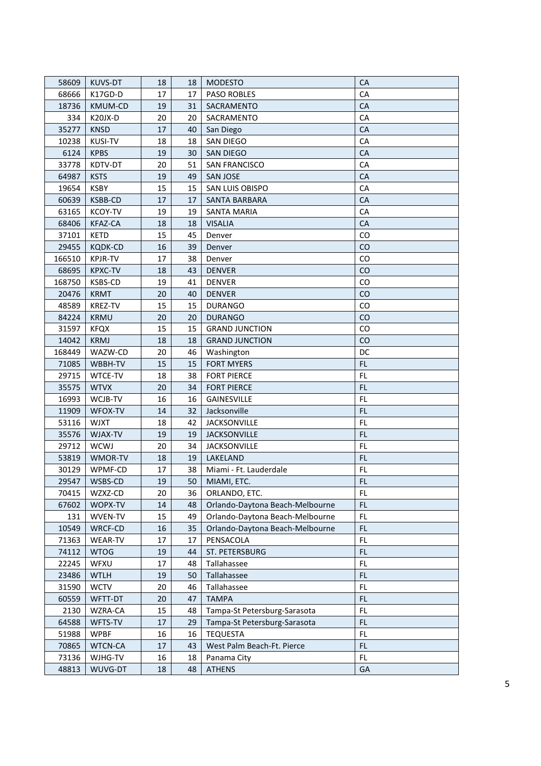| 58609  | KUVS-DT        | 18 | 18              | <b>MODESTO</b>                  | <b>CA</b>     |
|--------|----------------|----|-----------------|---------------------------------|---------------|
| 68666  | K17GD-D        | 17 | 17              | <b>PASO ROBLES</b>              | CA            |
| 18736  | KMUM-CD        | 19 | 31              | SACRAMENTO                      | CA            |
| 334    | K20JX-D        | 20 | 20              | SACRAMENTO                      | CA            |
| 35277  | <b>KNSD</b>    | 17 | 40              | San Diego                       | CA            |
| 10238  | <b>KUSI-TV</b> | 18 | 18              | SAN DIEGO                       | CA            |
| 6124   | <b>KPBS</b>    | 19 | 30              | <b>SAN DIEGO</b>                | CA            |
| 33778  | KDTV-DT        | 20 | 51              | SAN FRANCISCO                   | CA            |
| 64987  | <b>KSTS</b>    | 19 | 49              | <b>SAN JOSE</b>                 | CA            |
| 19654  | <b>KSBY</b>    | 15 | 15              | SAN LUIS OBISPO                 | CA            |
| 60639  | KSBB-CD        | 17 | 17              | <b>SANTA BARBARA</b>            | CA            |
| 63165  | <b>KCOY-TV</b> | 19 | 19              | <b>SANTA MARIA</b>              | CA            |
| 68406  | <b>KFAZ-CA</b> | 18 | 18              | <b>VISALIA</b>                  | CA            |
| 37101  | KETD           | 15 | 45              | Denver                          | CO            |
| 29455  | <b>KQDK-CD</b> | 16 | 39              | Denver                          | CO            |
| 166510 | <b>KPJR-TV</b> | 17 | 38              | Denver                          | <b>CO</b>     |
| 68695  | <b>KPXC-TV</b> | 18 | 43              | <b>DENVER</b>                   | CO            |
| 168750 | KSBS-CD        | 19 | 41              | <b>DENVER</b>                   | CO            |
| 20476  | <b>KRMT</b>    | 20 | 40              | <b>DENVER</b>                   | CO            |
| 48589  | <b>KREZ-TV</b> | 15 | 15              | <b>DURANGO</b>                  | CO            |
| 84224  | <b>KRMU</b>    | 20 | 20              | <b>DURANGO</b>                  | CO            |
| 31597  | <b>KFQX</b>    | 15 | 15              | <b>GRAND JUNCTION</b>           | <b>CO</b>     |
| 14042  | <b>KRMJ</b>    | 18 | 18              | <b>GRAND JUNCTION</b>           | CO            |
| 168449 | WAZW-CD        | 20 | 46              | Washington                      | DC            |
| 71085  | WBBH-TV        | 15 | 15              | <b>FORT MYERS</b>               | FL.           |
| 29715  | WTCE-TV        | 18 | 38              | <b>FORT PIERCE</b>              | FL            |
| 35575  | <b>WTVX</b>    | 20 | 34              | <b>FORT PIERCE</b>              | FL.           |
| 16993  | WCJB-TV        | 16 | 16              | <b>GAINESVILLE</b>              | FL.           |
| 11909  | WFOX-TV        | 14 | 32              | Jacksonville                    | <b>FL</b>     |
| 53116  | <b>WJXT</b>    | 18 | 42              | <b>JACKSONVILLE</b>             | FL.           |
| 35576  | WJAX-TV        | 19 | 19              | <b>JACKSONVILLE</b>             | <b>FL</b>     |
| 29712  | <b>WCWJ</b>    | 20 | 34              | <b>JACKSONVILLE</b>             | FL.           |
| 53819  | WMOR-TV        | 18 | 19              | LAKELAND                        | FL.           |
| 30129  | WPMF-CD        | 17 | 38              | Miami - Ft. Lauderdale          | <b>FL</b>     |
| 29547  | WSBS-CD        | 19 | 50 <sup>°</sup> | MIAMI, ETC.                     | <b>FL</b>     |
| 70415  | WZXZ-CD        | 20 | 36              | ORLANDO, ETC.                   | FL            |
| 67602  | WOPX-TV        | 14 | 48              | Orlando-Daytona Beach-Melbourne | FL.           |
| 131    | WVEN-TV        | 15 | 49              | Orlando-Daytona Beach-Melbourne | FL            |
| 10549  | WRCF-CD        | 16 | 35              | Orlando-Daytona Beach-Melbourne | FL            |
| 71363  | WEAR-TV        | 17 | 17              | PENSACOLA                       | FL            |
| 74112  | <b>WTOG</b>    | 19 | 44              | ST. PETERSBURG                  | FL            |
| 22245  | WFXU           | 17 | 48              | Tallahassee                     | ${\sf FL}$    |
| 23486  | <b>WTLH</b>    | 19 | 50              | Tallahassee                     | FL            |
| 31590  | <b>WCTV</b>    | 20 | 46              | Tallahassee                     | FL            |
| 60559  | WFTT-DT        | 20 | 47              | <b>TAMPA</b>                    | FL.           |
| 2130   | WZRA-CA        | 15 | 48              | Tampa-St Petersburg-Sarasota    | $\mathsf{FL}$ |
| 64588  | WFTS-TV        | 17 | 29              | Tampa-St Petersburg-Sarasota    | FL            |
| 51988  | <b>WPBF</b>    | 16 | 16              | <b>TEQUESTA</b>                 | FL            |
| 70865  | WTCN-CA        | 17 | 43              | West Palm Beach-Ft. Pierce      | <b>FL</b>     |
| 73136  | WJHG-TV        | 16 | 18              | Panama City                     | FL.           |
| 48813  | WUVG-DT        | 18 | 48              | <b>ATHENS</b>                   | GA            |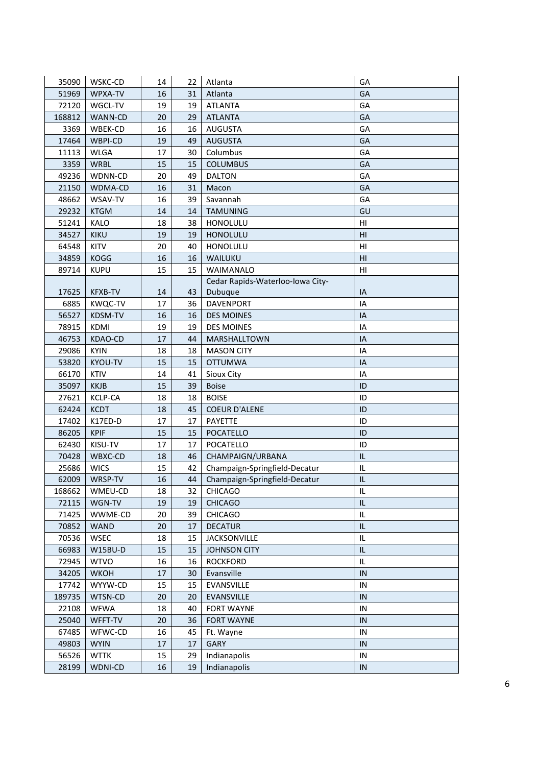| 35090  | WSKC-CD        | 14 | 22 | Atlanta                          | GA             |
|--------|----------------|----|----|----------------------------------|----------------|
| 51969  | WPXA-TV        | 16 | 31 | Atlanta                          | GA             |
| 72120  | WGCL-TV        | 19 | 19 | <b>ATLANTA</b>                   | GA             |
| 168812 | WANN-CD        | 20 | 29 | <b>ATLANTA</b>                   | GA             |
| 3369   | WBEK-CD        | 16 | 16 | AUGUSTA                          | GA             |
| 17464  | WBPI-CD        | 19 | 49 | <b>AUGUSTA</b>                   | GA             |
| 11113  | <b>WLGA</b>    | 17 | 30 | Columbus                         | GA             |
| 3359   | <b>WRBL</b>    | 15 | 15 | <b>COLUMBUS</b>                  | GA             |
| 49236  | WDNN-CD        | 20 | 49 | <b>DALTON</b>                    | GA             |
| 21150  | WDMA-CD        | 16 | 31 | Macon                            | GA             |
| 48662  | WSAV-TV        | 16 | 39 | Savannah                         | GA             |
| 29232  | <b>KTGM</b>    | 14 | 14 | <b>TAMUNING</b>                  | GU             |
| 51241  | KALO           | 18 | 38 | HONOLULU                         | H <sub>l</sub> |
| 34527  | <b>KIKU</b>    | 19 | 19 | <b>HONOLULU</b>                  | HI             |
| 64548  | <b>KITV</b>    | 20 | 40 | HONOLULU                         | H <sub>l</sub> |
| 34859  | <b>KOGG</b>    | 16 | 16 | WAILUKU                          | HI             |
| 89714  | <b>KUPU</b>    | 15 | 15 | <b>WAIMANALO</b>                 | HI             |
|        |                |    |    | Cedar Rapids-Waterloo-Iowa City- |                |
| 17625  | <b>KFXB-TV</b> | 14 | 43 | Dubuque                          | IA             |
| 6885   | <b>KWQC-TV</b> | 17 | 36 | <b>DAVENPORT</b>                 | IA             |
| 56527  | KDSM-TV        | 16 | 16 | <b>DES MOINES</b>                | IA             |
| 78915  | <b>KDMI</b>    | 19 | 19 | <b>DES MOINES</b>                | IA             |
| 46753  | KDAO-CD        | 17 | 44 | MARSHALLTOWN                     | IA             |
| 29086  | <b>KYIN</b>    | 18 | 18 | <b>MASON CITY</b>                | IA             |
| 53820  | KYOU-TV        | 15 | 15 | <b>OTTUMWA</b>                   | IA             |
| 66170  | <b>KTIV</b>    | 14 | 41 | Sioux City                       | IA             |
| 35097  | <b>KKJB</b>    | 15 | 39 | <b>Boise</b>                     | ID             |
| 27621  | <b>KCLP-CA</b> | 18 | 18 | <b>BOISE</b>                     | ID             |
| 62424  | <b>KCDT</b>    | 18 | 45 | <b>COEUR D'ALENE</b>             | ID             |
| 17402  | K17ED-D        | 17 | 17 | PAYETTE                          | ID             |
| 86205  | <b>KPIF</b>    | 15 | 15 | POCATELLO                        | ID             |
| 62430  | KISU-TV        | 17 | 17 | POCATELLO                        | ID             |
| 70428  | WBXC-CD        | 18 | 46 | CHAMPAIGN/URBANA                 | IL             |
| 25686  | <b>WICS</b>    | 15 | 42 | Champaign-Springfield-Decatur    | $\sf IL$       |
| 62009  | WRSP-TV        | 16 | 44 | Champaign-Springfield-Decatur    | IL             |
| 168662 | WMEU-CD        | 18 | 32 | <b>CHICAGO</b>                   | IL             |
| 72115  | WGN-TV         | 19 | 19 | <b>CHICAGO</b>                   | IL             |
| 71425  | WWME-CD        | 20 | 39 | <b>CHICAGO</b>                   | IL             |
| 70852  | <b>WAND</b>    | 20 | 17 | <b>DECATUR</b>                   | L              |
| 70536  | <b>WSEC</b>    | 18 | 15 | <b>JACKSONVILLE</b>              | IL             |
| 66983  | W15BU-D        | 15 | 15 | <b>JOHNSON CITY</b>              | L              |
| 72945  | <b>WTVO</b>    | 16 | 16 | <b>ROCKFORD</b>                  | IL             |
| 34205  | <b>WKOH</b>    | 17 | 30 | Evansville                       | IN             |
| 17742  | WYYW-CD        | 15 | 15 | EVANSVILLE                       | IN             |
| 189735 | WTSN-CD        | 20 | 20 | EVANSVILLE                       | IN             |
| 22108  | <b>WFWA</b>    | 18 | 40 | <b>FORT WAYNE</b>                | IN             |
| 25040  | WFFT-TV        | 20 | 36 | <b>FORT WAYNE</b>                | IN             |
| 67485  | WFWC-CD        | 16 | 45 | Ft. Wayne                        | IN             |
| 49803  | <b>WYIN</b>    | 17 | 17 | <b>GARY</b>                      | IN             |
| 56526  | <b>WTTK</b>    | 15 | 29 | Indianapolis                     | IN             |
| 28199  | WDNI-CD        | 16 | 19 | Indianapolis                     | IN             |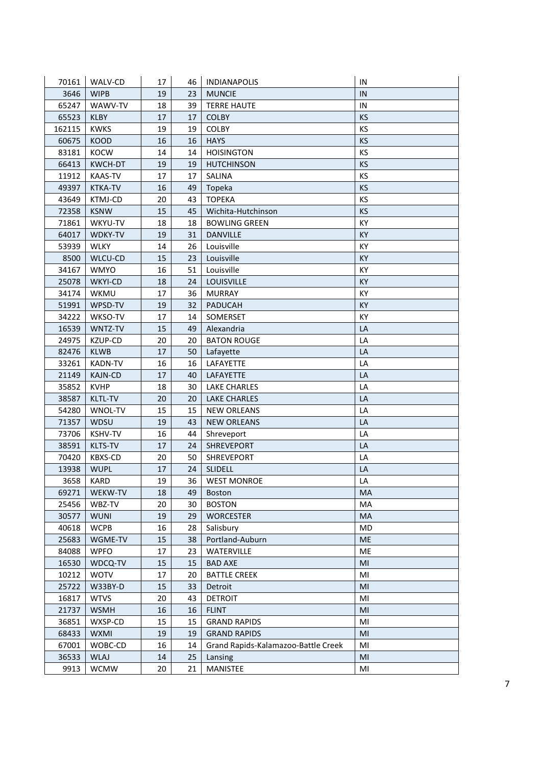| 70161  | WALV-CD        | 17 | 46 | <b>INDIANAPOLIS</b>                 | IN        |
|--------|----------------|----|----|-------------------------------------|-----------|
| 3646   | <b>WIPB</b>    | 19 | 23 | <b>MUNCIE</b>                       | IN        |
| 65247  | WAWV-TV        | 18 | 39 | <b>TERRE HAUTE</b>                  | $\sf IN$  |
| 65523  | <b>KLBY</b>    | 17 | 17 | <b>COLBY</b>                        | KS        |
| 162115 | <b>KWKS</b>    | 19 | 19 | <b>COLBY</b>                        | KS        |
| 60675  | <b>KOOD</b>    | 16 | 16 | <b>HAYS</b>                         | <b>KS</b> |
| 83181  | <b>KOCW</b>    | 14 | 14 | <b>HOISINGTON</b>                   | KS        |
| 66413  | <b>KWCH-DT</b> | 19 | 19 | <b>HUTCHINSON</b>                   | KS        |
| 11912  | <b>KAAS-TV</b> | 17 | 17 | SALINA                              | KS        |
| 49397  | <b>KTKA-TV</b> | 16 | 49 | Topeka                              | <b>KS</b> |
| 43649  | <b>KTMJ-CD</b> | 20 | 43 | <b>TOPEKA</b>                       | KS        |
| 72358  | <b>KSNW</b>    | 15 | 45 | Wichita-Hutchinson                  | <b>KS</b> |
| 71861  | WKYU-TV        | 18 | 18 | <b>BOWLING GREEN</b>                | KY        |
| 64017  | WDKY-TV        | 19 | 31 | <b>DANVILLE</b>                     | KY        |
| 53939  | WLKY           | 14 | 26 | Louisville                          | KY        |
| 8500   | WLCU-CD        | 15 | 23 | Louisville                          | KY        |
| 34167  | <b>WMYO</b>    | 16 | 51 | Louisville                          | KY        |
| 25078  | WKYI-CD        | 18 | 24 | <b>LOUISVILLE</b>                   | KY        |
| 34174  | WKMU           | 17 | 36 | <b>MURRAY</b>                       | KY        |
| 51991  | WPSD-TV        | 19 | 32 | <b>PADUCAH</b>                      | <b>KY</b> |
| 34222  | WKSO-TV        | 17 | 14 | SOMERSET                            | KY        |
| 16539  | WNTZ-TV        | 15 | 49 | Alexandria                          | LA        |
| 24975  | KZUP-CD        | 20 | 20 | <b>BATON ROUGE</b>                  | LA        |
| 82476  | <b>KLWB</b>    | 17 | 50 | Lafayette                           | LA        |
| 33261  | <b>KADN-TV</b> | 16 | 16 | LAFAYETTE                           | LA        |
| 21149  | <b>KAJN-CD</b> | 17 | 40 | LAFAYETTE                           | LA        |
| 35852  | <b>KVHP</b>    | 18 | 30 | <b>LAKE CHARLES</b>                 | LA        |
| 38587  | KLTL-TV        | 20 | 20 | <b>LAKE CHARLES</b>                 | LA        |
| 54280  | WNOL-TV        | 15 | 15 | <b>NEW ORLEANS</b>                  | LA        |
| 71357  | WDSU           | 19 | 43 | <b>NEW ORLEANS</b>                  | LA        |
| 73706  | <b>KSHV-TV</b> | 16 | 44 | Shreveport                          | LA        |
| 38591  | KLTS-TV        | 17 | 24 | SHREVEPORT                          | LA        |
| 70420  | <b>KBXS-CD</b> | 20 | 50 | <b>SHREVEPORT</b>                   | LA        |
| 13938  | <b>WUPL</b>    | 17 | 24 | <b>SLIDELL</b>                      | LA        |
| 3658   | KARD           | 19 | 36 | <b>WEST MONROE</b>                  | LA        |
| 69271  | WEKW-TV        | 18 | 49 | <b>Boston</b>                       | MA        |
| 25456  | WBZ-TV         | 20 | 30 | <b>BOSTON</b>                       | MA        |
| 30577  | <b>WUNI</b>    | 19 | 29 | <b>WORCESTER</b>                    | MA        |
| 40618  | <b>WCPB</b>    | 16 | 28 | Salisbury                           | MD        |
| 25683  | WGME-TV        | 15 | 38 | Portland-Auburn                     | <b>ME</b> |
| 84088  | <b>WPFO</b>    | 17 | 23 | WATERVILLE                          | ME        |
| 16530  | WDCQ-TV        | 15 | 15 | <b>BAD AXE</b>                      | MI        |
| 10212  | <b>WOTV</b>    | 17 | 20 | <b>BATTLE CREEK</b>                 | MI        |
| 25722  | W33BY-D        | 15 | 33 | Detroit                             | MI        |
| 16817  | <b>WTVS</b>    | 20 | 43 | <b>DETROIT</b>                      | MI        |
| 21737  | <b>WSMH</b>    | 16 | 16 | <b>FLINT</b>                        | MI        |
| 36851  | WXSP-CD        | 15 | 15 | <b>GRAND RAPIDS</b>                 | MI        |
| 68433  | <b>WXMI</b>    | 19 | 19 | <b>GRAND RAPIDS</b>                 | MI        |
| 67001  | WOBC-CD        | 16 | 14 | Grand Rapids-Kalamazoo-Battle Creek | MI        |
| 36533  | <b>WLAJ</b>    | 14 | 25 | Lansing                             | MI        |
| 9913   | <b>WCMW</b>    | 20 | 21 | <b>MANISTEE</b>                     | MI        |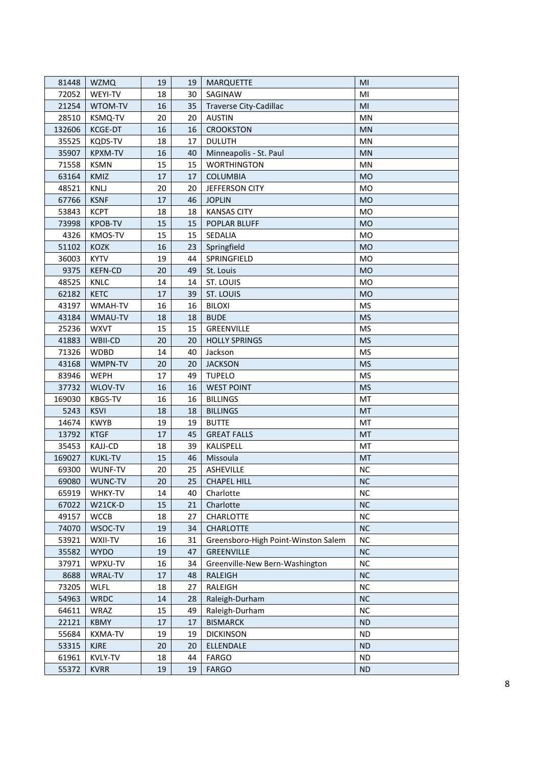| 81448  | <b>WZMQ</b>    | 19 | 19              | <b>MARQUETTE</b>                    | MI        |
|--------|----------------|----|-----------------|-------------------------------------|-----------|
| 72052  | WEYI-TV        | 18 | 30              | SAGINAW                             | MI        |
| 21254  | WTOM-TV        | 16 | 35              | <b>Traverse City-Cadillac</b>       | MI        |
| 28510  | KSMQ-TV        | 20 | 20              | <b>AUSTIN</b>                       | <b>MN</b> |
| 132606 | KCGE-DT        | 16 | 16              | <b>CROOKSTON</b>                    | <b>MN</b> |
| 35525  | <b>KQDS-TV</b> | 18 | 17              | <b>DULUTH</b>                       | MN        |
| 35907  | <b>KPXM-TV</b> | 16 | 40              | Minneapolis - St. Paul              | <b>MN</b> |
| 71558  | <b>KSMN</b>    | 15 | 15              | <b>WORTHINGTON</b>                  | MN        |
| 63164  | KMIZ           | 17 | 17              | <b>COLUMBIA</b>                     | <b>MO</b> |
| 48521  | KNLJ           | 20 | 20              | JEFFERSON CITY                      | <b>MO</b> |
| 67766  | <b>KSNF</b>    | 17 | 46              | <b>JOPLIN</b>                       | <b>MO</b> |
| 53843  | <b>KCPT</b>    | 18 | 18              | <b>KANSAS CITY</b>                  | <b>MO</b> |
| 73998  | <b>KPOB-TV</b> | 15 | 15              | POPLAR BLUFF                        | <b>MO</b> |
| 4326   | KMOS-TV        | 15 | 15              | SEDALIA                             | <b>MO</b> |
| 51102  | <b>KOZK</b>    | 16 | 23              | Springfield                         | <b>MO</b> |
| 36003  | <b>KYTV</b>    | 19 | 44              | SPRINGFIELD                         | <b>MO</b> |
| 9375   | <b>KEFN-CD</b> | 20 | 49              | St. Louis                           | <b>MO</b> |
| 48525  | KNLC           | 14 | 14              | ST. LOUIS                           | <b>MO</b> |
| 62182  | <b>KETC</b>    | 17 | 39              | ST. LOUIS                           | <b>MO</b> |
| 43197  | WMAH-TV        | 16 | 16              | <b>BILOXI</b>                       | <b>MS</b> |
| 43184  | WMAU-TV        | 18 | 18              | <b>BUDE</b>                         | <b>MS</b> |
| 25236  | <b>WXVT</b>    | 15 | 15              | GREENVILLE                          | <b>MS</b> |
| 41883  | WBII-CD        | 20 | 20              | <b>HOLLY SPRINGS</b>                | <b>MS</b> |
| 71326  | <b>WDBD</b>    | 14 | 40              | Jackson                             | <b>MS</b> |
| 43168  | WMPN-TV        | 20 | 20              | <b>JACKSON</b>                      | <b>MS</b> |
| 83946  | <b>WEPH</b>    | 17 | 49              | <b>TUPELO</b>                       | <b>MS</b> |
| 37732  | WLOV-TV        | 16 | 16              | <b>WEST POINT</b>                   | <b>MS</b> |
| 169030 | <b>KBGS-TV</b> | 16 | 16              | <b>BILLINGS</b>                     | MT        |
| 5243   | <b>KSVI</b>    | 18 | 18              | <b>BILLINGS</b>                     | <b>MT</b> |
| 14674  | <b>KWYB</b>    | 19 | 19              | <b>BUTTE</b>                        | MT        |
| 13792  | <b>KTGF</b>    | 17 | 45              | <b>GREAT FALLS</b>                  | <b>MT</b> |
| 35453  | <b>KAJJ-CD</b> | 18 | 39              | KALISPELL                           | MT        |
| 169027 | <b>KUKL-TV</b> | 15 | 46              | Missoula                            | <b>MT</b> |
| 69300  | WUNF-TV        | 20 | 25              | ASHEVILLE                           | <b>NC</b> |
| 69080  | WUNC-TV        | 20 | 25 <sub>1</sub> | <b>CHAPEL HILL</b>                  | <b>NC</b> |
| 65919  | WHKY-TV        | 14 | 40              | Charlotte                           | <b>NC</b> |
| 67022  | W21CK-D        | 15 | 21              | Charlotte                           | <b>NC</b> |
| 49157  | <b>WCCB</b>    | 18 | 27              | CHARLOTTE                           | <b>NC</b> |
| 74070  | WSOC-TV        | 19 | 34              | <b>CHARLOTTE</b>                    | <b>NC</b> |
| 53921  | WXII-TV        | 16 | 31              | Greensboro-High Point-Winston Salem | <b>NC</b> |
| 35582  | <b>WYDO</b>    | 19 | 47              | GREENVILLE                          | <b>NC</b> |
| 37971  | WPXU-TV        | 16 | 34              | Greenville-New Bern-Washington      | <b>NC</b> |
| 8688   | WRAL-TV        | 17 | 48              | RALEIGH                             | NC        |
| 73205  | <b>WLFL</b>    | 18 | 27              | RALEIGH                             | <b>NC</b> |
| 54963  | <b>WRDC</b>    | 14 | 28              | Raleigh-Durham                      | <b>NC</b> |
| 64611  | WRAZ           | 15 | 49              | Raleigh-Durham                      | <b>NC</b> |
| 22121  | <b>KBMY</b>    | 17 | 17              | <b>BISMARCK</b>                     | <b>ND</b> |
| 55684  | <b>KXMA-TV</b> | 19 | 19              | <b>DICKINSON</b>                    | <b>ND</b> |
| 53315  | <b>KJRE</b>    | 20 | 20              | ELLENDALE                           | <b>ND</b> |
| 61961  | <b>KVLY-TV</b> | 18 | 44              | <b>FARGO</b>                        | <b>ND</b> |
| 55372  | <b>KVRR</b>    | 19 | 19              | <b>FARGO</b>                        | <b>ND</b> |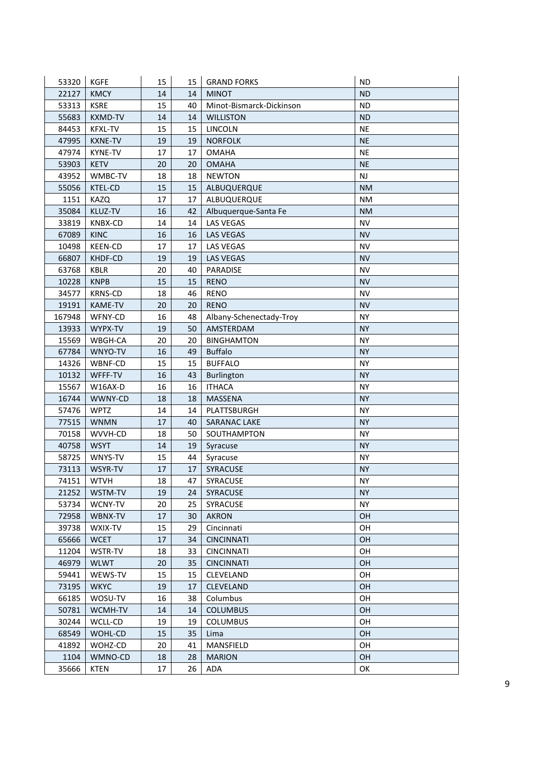| 53320  | <b>KGFE</b>    | 15 | 15 | <b>GRAND FORKS</b>       | <b>ND</b> |
|--------|----------------|----|----|--------------------------|-----------|
| 22127  | <b>KMCY</b>    | 14 | 14 | <b>MINOT</b>             | <b>ND</b> |
| 53313  | <b>KSRE</b>    | 15 | 40 | Minot-Bismarck-Dickinson | <b>ND</b> |
| 55683  | <b>KXMD-TV</b> | 14 | 14 | <b>WILLISTON</b>         | <b>ND</b> |
| 84453  | <b>KFXL-TV</b> | 15 | 15 | LINCOLN                  | <b>NE</b> |
| 47995  | <b>KXNE-TV</b> | 19 | 19 | <b>NORFOLK</b>           | <b>NE</b> |
| 47974  | <b>KYNE-TV</b> | 17 | 17 | <b>OMAHA</b>             | <b>NE</b> |
| 53903  | <b>KETV</b>    | 20 | 20 | <b>OMAHA</b>             | <b>NE</b> |
| 43952  | WMBC-TV        | 18 | 18 | <b>NEWTON</b>            | <b>NJ</b> |
| 55056  | KTEL-CD        | 15 | 15 | ALBUQUERQUE              | <b>NM</b> |
| 1151   | <b>KAZQ</b>    | 17 | 17 | ALBUQUERQUE              | <b>NM</b> |
| 35084  | KLUZ-TV        | 16 | 42 | Albuquerque-Santa Fe     | <b>NM</b> |
| 33819  | <b>KNBX-CD</b> | 14 | 14 | LAS VEGAS                | <b>NV</b> |
| 67089  | <b>KINC</b>    | 16 | 16 | LAS VEGAS                | <b>NV</b> |
| 10498  | <b>KEEN-CD</b> | 17 | 17 | LAS VEGAS                | <b>NV</b> |
| 66807  | KHDF-CD        | 19 | 19 | <b>LAS VEGAS</b>         | <b>NV</b> |
| 63768  | KBLR           | 20 | 40 | PARADISE                 | <b>NV</b> |
| 10228  | <b>KNPB</b>    | 15 | 15 | <b>RENO</b>              | <b>NV</b> |
| 34577  | <b>KRNS-CD</b> | 18 | 46 | <b>RENO</b>              | <b>NV</b> |
| 19191  | <b>KAME-TV</b> | 20 | 20 | <b>RENO</b>              | <b>NV</b> |
| 167948 | WFNY-CD        | 16 | 48 | Albany-Schenectady-Troy  | <b>NY</b> |
| 13933  | WYPX-TV        | 19 | 50 | AMSTERDAM                | <b>NY</b> |
| 15569  | WBGH-CA        | 20 | 20 | <b>BINGHAMTON</b>        | <b>NY</b> |
| 67784  | WNYO-TV        | 16 | 49 | <b>Buffalo</b>           | <b>NY</b> |
| 14326  | WBNF-CD        | 15 | 15 | <b>BUFFALO</b>           | <b>NY</b> |
| 10132  | WFFF-TV        | 16 | 43 | <b>Burlington</b>        | <b>NY</b> |
| 15567  | W16AX-D        | 16 | 16 | <b>ITHACA</b>            | <b>NY</b> |
| 16744  | WWNY-CD        | 18 | 18 | MASSENA                  | NY.       |
| 57476  | <b>WPTZ</b>    | 14 | 14 | PLATTSBURGH              | <b>NY</b> |
| 77515  | <b>WNMN</b>    | 17 | 40 | <b>SARANAC LAKE</b>      | <b>NY</b> |
| 70158  | WVVH-CD        | 18 | 50 | SOUTHAMPTON              | <b>NY</b> |
| 40758  | <b>WSYT</b>    | 14 | 19 | Syracuse                 | <b>NY</b> |
| 58725  | WNYS-TV        | 15 | 44 | Syracuse                 | <b>NY</b> |
| 73113  | WSYR-TV        | 17 | 17 | SYRACUSE                 | <b>NY</b> |
| 74151  | <b>WTVH</b>    | 18 | 47 | SYRACUSE                 | <b>NY</b> |
| 21252  | WSTM-TV        | 19 | 24 | <b>SYRACUSE</b>          | <b>NY</b> |
| 53734  | WCNY-TV        | 20 | 25 | SYRACUSE                 | <b>NY</b> |
| 72958  | WBNX-TV        | 17 | 30 | <b>AKRON</b>             | OН        |
| 39738  | WXIX-TV        | 15 | 29 | Cincinnati               | OН        |
| 65666  | <b>WCET</b>    | 17 | 34 | <b>CINCINNATI</b>        | OH        |
| 11204  | WSTR-TV        | 18 | 33 | <b>CINCINNATI</b>        | OН        |
| 46979  | <b>WLWT</b>    | 20 | 35 | <b>CINCINNATI</b>        | <b>OH</b> |
| 59441  | WEWS-TV        | 15 | 15 | CLEVELAND                | OН        |
| 73195  | <b>WKYC</b>    | 19 | 17 | <b>CLEVELAND</b>         | <b>OH</b> |
| 66185  | WOSU-TV        | 16 | 38 | Columbus                 | OH        |
| 50781  | WCMH-TV        | 14 | 14 | <b>COLUMBUS</b>          | OH        |
| 30244  | WCLL-CD        | 19 | 19 | <b>COLUMBUS</b>          | OH        |
| 68549  | WOHL-CD        | 15 | 35 | Lima                     | OН        |
| 41892  | WOHZ-CD        | 20 | 41 | MANSFIELD                | OН        |
| 1104   | WMNO-CD        | 18 | 28 | <b>MARION</b>            | OH        |
| 35666  | KTEN           | 17 | 26 | ADA                      | OK        |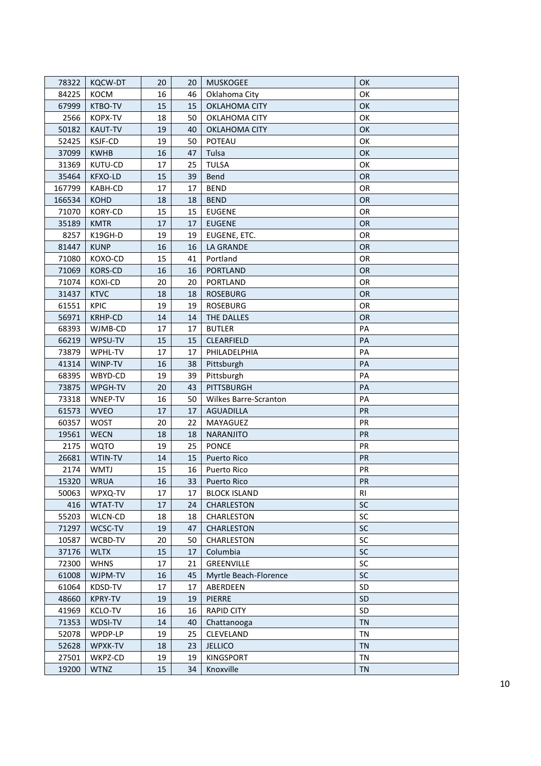| 78322  | KQCW-DT        | 20 | 20              | <b>MUSKOGEE</b>       | OK        |
|--------|----------------|----|-----------------|-----------------------|-----------|
| 84225  | KOCM           | 16 | 46              | Oklahoma City         | OK        |
| 67999  | KTBO-TV        | 15 | 15              | OKLAHOMA CITY         | OK        |
| 2566   | KOPX-TV        | 18 | 50              | OKLAHOMA CITY         | OK        |
| 50182  | <b>KAUT-TV</b> | 19 | 40              | <b>OKLAHOMA CITY</b>  | OK        |
| 52425  | <b>KSJF-CD</b> | 19 | 50              | POTEAU                | OK        |
| 37099  | <b>KWHB</b>    | 16 | 47              | Tulsa                 | OK        |
| 31369  | KUTU-CD        | 17 | 25              | <b>TULSA</b>          | OK        |
| 35464  | KFXO-LD        | 15 | 39              | Bend                  | OR        |
| 167799 | KABH-CD        | 17 | 17              | <b>BEND</b>           | OR        |
| 166534 | <b>KOHD</b>    | 18 | 18              | <b>BEND</b>           | OR        |
| 71070  | KORY-CD        | 15 | 15              | <b>EUGENE</b>         | OR        |
| 35189  | <b>KMTR</b>    | 17 | 17              | <b>EUGENE</b>         | OR        |
| 8257   | K19GH-D        | 19 | 19              | EUGENE, ETC.          | <b>OR</b> |
| 81447  | <b>KUNP</b>    | 16 | 16              | LA GRANDE             | OR        |
| 71080  | KOXO-CD        | 15 | 41              | Portland              | <b>OR</b> |
| 71069  | KORS-CD        | 16 | 16              | <b>PORTLAND</b>       | OR        |
| 71074  | <b>KOXI-CD</b> | 20 | 20              | PORTLAND              | OR        |
| 31437  | <b>KTVC</b>    | 18 | 18              | <b>ROSEBURG</b>       | OR        |
| 61551  | <b>KPIC</b>    | 19 | 19              | <b>ROSEBURG</b>       | OR        |
| 56971  | KRHP-CD        | 14 | 14              | THE DALLES            | <b>OR</b> |
| 68393  | WJMB-CD        | 17 | 17              | <b>BUTLER</b>         | PA        |
| 66219  | WPSU-TV        | 15 | 15              | CLEARFIELD            | PA        |
| 73879  | WPHL-TV        | 17 | 17              | PHILADELPHIA          | PA        |
| 41314  | WINP-TV        | 16 | 38              | Pittsburgh            | PA        |
| 68395  | WBYD-CD        | 19 | 39              | Pittsburgh            | PA        |
| 73875  | WPGH-TV        | 20 | 43              | PITTSBURGH            | PA        |
| 73318  | WNEP-TV        | 16 | 50              | Wilkes Barre-Scranton | PA        |
| 61573  | <b>WVEO</b>    | 17 | 17              | AGUADILLA             | PR        |
| 60357  | <b>WOST</b>    | 20 | 22              | MAYAGUEZ              | PR        |
| 19561  | <b>WECN</b>    | 18 | 18              | <b>NARANJITO</b>      | PR        |
| 2175   | <b>WQTO</b>    | 19 | 25              | <b>PONCE</b>          | PR        |
| 26681  | WTIN-TV        | 14 | 15              | <b>Puerto Rico</b>    | PR        |
| 2174   | <b>WMTJ</b>    | 15 | 16              | Puerto Rico           | PR        |
| 15320  | <b>WRUA</b>    | 16 | 33 <sup>2</sup> | Puerto Rico           | <b>PR</b> |
| 50063  | WPXQ-TV        | 17 | 17              | <b>BLOCK ISLAND</b>   | RI        |
| 416    | WTAT-TV        | 17 | 24              | <b>CHARLESTON</b>     | SC        |
| 55203  | WLCN-CD        | 18 | 18              | CHARLESTON            | SC        |
| 71297  | WCSC-TV        | 19 | 47              | CHARLESTON            | <b>SC</b> |
| 10587  | WCBD-TV        | 20 | 50              | CHARLESTON            | SC        |
| 37176  | <b>WLTX</b>    | 15 | 17              | Columbia              | SC        |
| 72300  | <b>WHNS</b>    | 17 | 21              | GREENVILLE            | SC        |
| 61008  | WJPM-TV        | 16 | 45              | Myrtle Beach-Florence | SC        |
| 61064  | KDSD-TV        | 17 | 17              | ABERDEEN              | SD        |
| 48660  | <b>KPRY-TV</b> | 19 | 19              | PIERRE                | SD        |
| 41969  | <b>KCLO-TV</b> | 16 | 16              | <b>RAPID CITY</b>     | <b>SD</b> |
| 71353  | WDSI-TV        | 14 | 40              | Chattanooga           | <b>TN</b> |
| 52078  | WPDP-LP        | 19 | 25              | CLEVELAND             | TN        |
| 52628  | WPXK-TV        | 18 | 23              | <b>JELLICO</b>        | <b>TN</b> |
| 27501  | WKPZ-CD        | 19 | 19              | KINGSPORT             | TN        |
| 19200  | <b>WTNZ</b>    | 15 | 34              | Knoxville             | <b>TN</b> |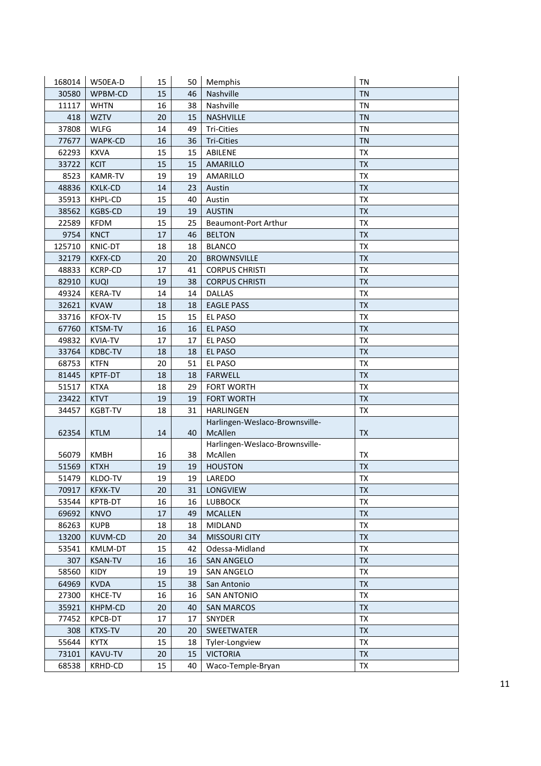| 168014 | W50EA-D        | 15 | 50 | Memphis                        | <b>TN</b> |
|--------|----------------|----|----|--------------------------------|-----------|
| 30580  | WPBM-CD        | 15 | 46 | Nashville                      | <b>TN</b> |
| 11117  | <b>WHTN</b>    | 16 | 38 | Nashville                      | <b>TN</b> |
| 418    | <b>WZTV</b>    | 20 | 15 | NASHVILLE                      | <b>TN</b> |
| 37808  | <b>WLFG</b>    | 14 | 49 | <b>Tri-Cities</b>              | <b>TN</b> |
| 77677  | WAPK-CD        | 16 | 36 | <b>Tri-Cities</b>              | <b>TN</b> |
| 62293  | <b>KXVA</b>    | 15 | 15 | ABILENE                        | <b>TX</b> |
| 33722  | <b>KCIT</b>    | 15 | 15 | AMARILLO                       | <b>TX</b> |
| 8523   | <b>KAMR-TV</b> | 19 | 19 | AMARILLO                       | <b>TX</b> |
| 48836  | <b>KXLK-CD</b> | 14 | 23 | Austin                         | <b>TX</b> |
| 35913  | KHPL-CD        | 15 | 40 | Austin                         | <b>TX</b> |
| 38562  | KGBS-CD        | 19 | 19 | <b>AUSTIN</b>                  | <b>TX</b> |
| 22589  | <b>KFDM</b>    | 15 | 25 | Beaumont-Port Arthur           | <b>TX</b> |
| 9754   | <b>KNCT</b>    | 17 | 46 | <b>BELTON</b>                  | <b>TX</b> |
| 125710 | KNIC-DT        | 18 | 18 | <b>BLANCO</b>                  | TX        |
| 32179  | <b>KXFX-CD</b> | 20 | 20 | <b>BROWNSVILLE</b>             | <b>TX</b> |
| 48833  | <b>KCRP-CD</b> | 17 | 41 | <b>CORPUS CHRISTI</b>          | <b>TX</b> |
| 82910  | <b>KUQI</b>    | 19 | 38 | <b>CORPUS CHRISTI</b>          | <b>TX</b> |
| 49324  | <b>KERA-TV</b> | 14 | 14 | <b>DALLAS</b>                  | TX        |
| 32621  | <b>KVAW</b>    | 18 | 18 | <b>EAGLE PASS</b>              | <b>TX</b> |
| 33716  | <b>KFOX-TV</b> | 15 | 15 | EL PASO                        | <b>TX</b> |
| 67760  | KTSM-TV        | 16 | 16 | <b>EL PASO</b>                 | <b>TX</b> |
| 49832  | <b>KVIA-TV</b> | 17 | 17 | EL PASO                        | <b>TX</b> |
| 33764  | KDBC-TV        | 18 | 18 | EL PASO                        | <b>TX</b> |
| 68753  | <b>KTFN</b>    | 20 | 51 | EL PASO                        | <b>TX</b> |
| 81445  | <b>KPTF-DT</b> | 18 | 18 | <b>FARWELL</b>                 | <b>TX</b> |
| 51517  | <b>KTXA</b>    | 18 | 29 | <b>FORT WORTH</b>              | <b>TX</b> |
| 23422  | <b>KTVT</b>    | 19 | 19 | <b>FORT WORTH</b>              | <b>TX</b> |
| 34457  | KGBT-TV        | 18 | 31 | <b>HARLINGEN</b>               | TX        |
|        |                |    |    | Harlingen-Weslaco-Brownsville- |           |
| 62354  | <b>KTLM</b>    | 14 | 40 | McAllen                        | <b>TX</b> |
|        |                |    |    | Harlingen-Weslaco-Brownsville- |           |
| 56079  | <b>KMBH</b>    | 16 | 38 | McAllen                        | <b>TX</b> |
| 51569  | <b>KTXH</b>    | 19 | 19 | <b>HOUSTON</b>                 | <b>TX</b> |
| 51479  | KLDO-TV        | 19 | 19 | LAREDO                         | TX        |
| 70917  | <b>KFXK-TV</b> | 20 | 31 | LONGVIEW                       | <b>TX</b> |
| 53544  | KPTB-DT        | 16 | 16 | <b>LUBBOCK</b>                 | TX        |
| 69692  | <b>KNVO</b>    | 17 | 49 | <b>MCALLEN</b>                 | <b>TX</b> |
| 86263  | <b>KUPB</b>    | 18 | 18 | MIDLAND                        | TX        |
| 13200  | <b>KUVM-CD</b> | 20 | 34 | <b>MISSOURI CITY</b>           | <b>TX</b> |
| 53541  | KMLM-DT        | 15 | 42 | Odessa-Midland                 | <b>TX</b> |
| 307    | <b>KSAN-TV</b> | 16 | 16 | <b>SAN ANGELO</b>              | <b>TX</b> |
| 58560  | KIDY           | 19 | 19 | <b>SAN ANGELO</b>              | <b>TX</b> |
| 64969  | <b>KVDA</b>    | 15 | 38 | San Antonio                    | <b>TX</b> |
| 27300  | KHCE-TV        | 16 | 16 | <b>SAN ANTONIO</b>             | TX        |
| 35921  | KHPM-CD        | 20 | 40 | <b>SAN MARCOS</b>              | <b>TX</b> |
| 77452  | KPCB-DT        | 17 | 17 | SNYDER                         | <b>TX</b> |
| 308    | <b>KTXS-TV</b> | 20 | 20 | SWEETWATER                     | <b>TX</b> |
| 55644  | <b>KYTX</b>    | 15 | 18 | Tyler-Longview                 | TX        |
| 73101  | KAVU-TV        | 20 | 15 | <b>VICTORIA</b>                | TX        |
| 68538  | KRHD-CD        | 15 | 40 | Waco-Temple-Bryan              | TX        |
|        |                |    |    |                                |           |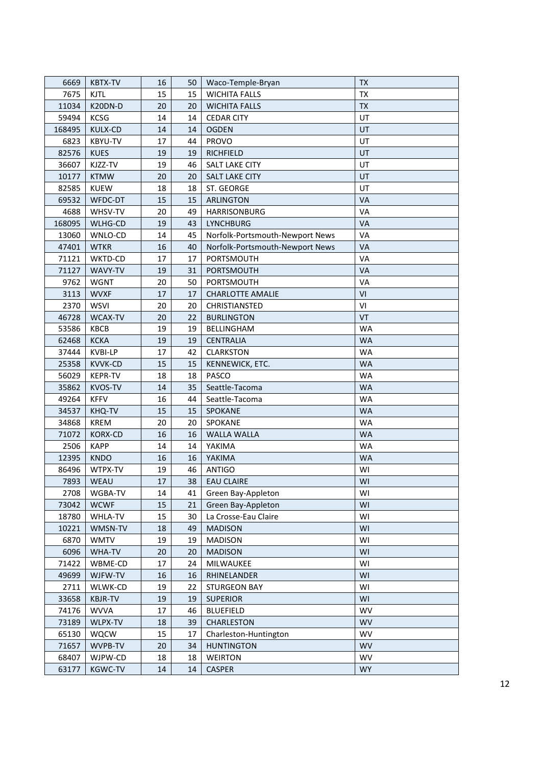| 6669   | <b>KBTX-TV</b> | 16 | 50 | Waco-Temple-Bryan               | TX        |
|--------|----------------|----|----|---------------------------------|-----------|
| 7675   | <b>KJTL</b>    | 15 | 15 | <b>WICHITA FALLS</b>            | TX        |
| 11034  | K20DN-D        | 20 | 20 | <b>WICHITA FALLS</b>            | <b>TX</b> |
| 59494  | KCSG           | 14 | 14 | <b>CEDAR CITY</b>               | UT        |
| 168495 | KULX-CD        | 14 | 14 | <b>OGDEN</b>                    | UT        |
| 6823   | <b>KBYU-TV</b> | 17 | 44 | <b>PROVO</b>                    | UT        |
| 82576  | <b>KUES</b>    | 19 | 19 | <b>RICHFIELD</b>                | UT        |
| 36607  | KJZZ-TV        | 19 | 46 | SALT LAKE CITY                  | UT        |
| 10177  | <b>KTMW</b>    | 20 | 20 | <b>SALT LAKE CITY</b>           | UT        |
| 82585  | <b>KUEW</b>    | 18 | 18 | ST. GEORGE                      | UT        |
| 69532  | WFDC-DT        | 15 | 15 | <b>ARLINGTON</b>                | VA        |
| 4688   | WHSV-TV        | 20 | 49 | HARRISONBURG                    | VA        |
| 168095 | WLHG-CD        | 19 | 43 | LYNCHBURG                       | VA        |
| 13060  | WNLO-CD        | 14 | 45 | Norfolk-Portsmouth-Newport News | VA        |
| 47401  | <b>WTKR</b>    | 16 | 40 | Norfolk-Portsmouth-Newport News | VA        |
| 71121  | WKTD-CD        | 17 | 17 | PORTSMOUTH                      | VA        |
| 71127  | WAVY-TV        | 19 | 31 | PORTSMOUTH                      | VA        |
| 9762   | <b>WGNT</b>    | 20 | 50 | PORTSMOUTH                      | VA        |
| 3113   | <b>WVXF</b>    | 17 | 17 | <b>CHARLOTTE AMALIE</b>         | VI        |
| 2370   | <b>WSVI</b>    | 20 | 20 | CHRISTIANSTED                   | VI        |
| 46728  | WCAX-TV        | 20 | 22 | <b>BURLINGTON</b>               | <b>VT</b> |
| 53586  | KBCB           | 19 | 19 | BELLINGHAM                      | <b>WA</b> |
| 62468  | <b>KCKA</b>    | 19 | 19 | <b>CENTRALIA</b>                | <b>WA</b> |
| 37444  | KVBI-LP        | 17 | 42 | <b>CLARKSTON</b>                | <b>WA</b> |
| 25358  | KVVK-CD        | 15 | 15 | KENNEWICK, ETC.                 | <b>WA</b> |
| 56029  | <b>KEPR-TV</b> | 18 | 18 | PASCO                           | <b>WA</b> |
| 35862  | <b>KVOS-TV</b> | 14 | 35 | Seattle-Tacoma                  | <b>WA</b> |
| 49264  | <b>KFFV</b>    | 16 | 44 | Seattle-Tacoma                  | <b>WA</b> |
| 34537  | KHQ-TV         | 15 | 15 | SPOKANE                         | <b>WA</b> |
| 34868  | <b>KREM</b>    | 20 | 20 | SPOKANE                         | <b>WA</b> |
| 71072  | <b>KORX-CD</b> | 16 | 16 | <b>WALLA WALLA</b>              | <b>WA</b> |
| 2506   | <b>KAPP</b>    | 14 | 14 | YAKIMA                          | <b>WA</b> |
| 12395  | <b>KNDO</b>    | 16 | 16 | YAKIMA                          | <b>WA</b> |
| 86496  | WTPX-TV        | 19 | 46 | <b>ANTIGO</b>                   | WI        |
| 7893   | <b>WEAU</b>    | 17 | 38 | <b>EAU CLAIRE</b>               | WI        |
| 2708   | WGBA-TV        | 14 | 41 | Green Bay-Appleton              | WI        |
| 73042  | <b>WCWF</b>    | 15 | 21 | Green Bay-Appleton              | WI        |
| 18780  | WHLA-TV        | 15 | 30 | La Crosse-Eau Claire            | WI        |
| 10221  | WMSN-TV        | 18 | 49 | <b>MADISON</b>                  | WI        |
| 6870   | <b>WMTV</b>    | 19 | 19 | <b>MADISON</b>                  | WI        |
| 6096   | WHA-TV         | 20 | 20 | <b>MADISON</b>                  | WI        |
| 71422  | WBME-CD        | 17 | 24 | MILWAUKEE                       | WI        |
| 49699  | WJFW-TV        | 16 | 16 | RHINELANDER                     | WI        |
| 2711   | WLWK-CD        | 19 | 22 | <b>STURGEON BAY</b>             | WI        |
| 33658  | <b>KBJR-TV</b> | 19 | 19 | <b>SUPERIOR</b>                 | WI        |
| 74176  | <b>WVVA</b>    | 17 | 46 | <b>BLUEFIELD</b>                | <b>WV</b> |
| 73189  | WLPX-TV        | 18 | 39 | CHARLESTON                      | <b>WV</b> |
| 65130  | WQCW           | 15 | 17 | Charleston-Huntington           | <b>WV</b> |
| 71657  | WVPB-TV        | 20 | 34 | <b>HUNTINGTON</b>               | <b>WV</b> |
| 68407  | WJPW-CD        | 18 | 18 | <b>WEIRTON</b>                  | <b>WV</b> |
| 63177  | <b>KGWC-TV</b> | 14 | 14 | <b>CASPER</b>                   | <b>WY</b> |